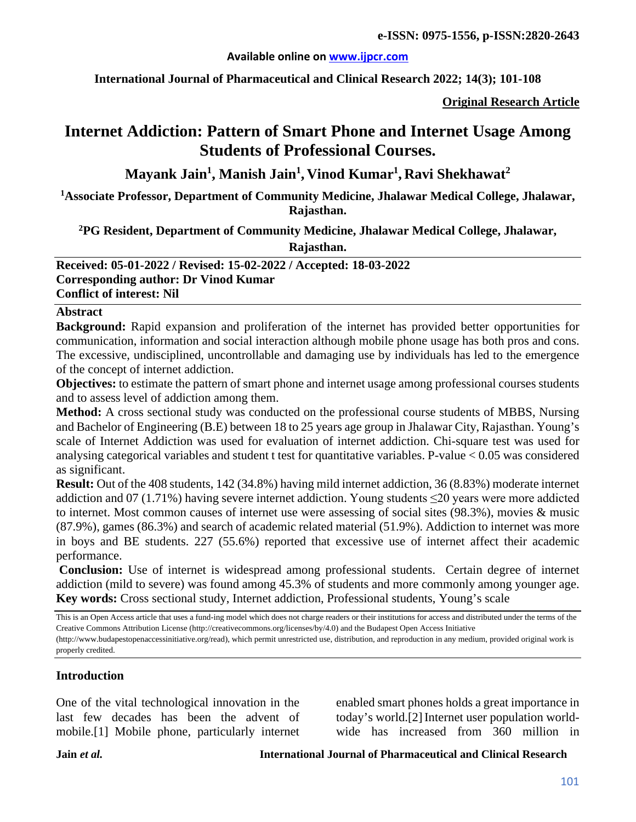#### **Available online on [www.ijpcr.com](http://www.ijpcr.com/)**

**International Journal of Pharmaceutical and Clinical Research 2022; 14(3); 101-108**

**Original Research Article**

# **Internet Addiction: Pattern of Smart Phone and Internet Usage Among Students of Professional Courses.**

## **Mayank Jain1 , Manish Jain1 , Vinod Kumar1 , Ravi Shekhawat<sup>2</sup>**

**1Associate Professor, Department of Community Medicine, Jhalawar Medical College, Jhalawar, Rajasthan.**

**2PG Resident, Department of Community Medicine, Jhalawar Medical College, Jhalawar,** 

**Rajasthan.**

**Received: 05-01-2022 / Revised: 15-02-2022 / Accepted: 18-03-2022 Corresponding author: Dr Vinod Kumar Conflict of interest: Nil**

#### **Abstract**

**Background:** Rapid expansion and proliferation of the internet has provided better opportunities for communication, information and social interaction although mobile phone usage has both pros and cons. The excessive, undisciplined, uncontrollable and damaging use by individuals has led to the emergence of the concept of internet addiction.

**Objectives:** to estimate the pattern of smart phone and internet usage among professional courses students and to assess level of addiction among them.

**Method:** A cross sectional study was conducted on the professional course students of MBBS, Nursing and Bachelor of Engineering (B.E) between 18 to 25 years age group in Jhalawar City, Rajasthan. Young's scale of Internet Addiction was used for evaluation of internet addiction. Chi-square test was used for analysing categorical variables and student t test for quantitative variables. P-value < 0.05 was considered as significant.

**Result:** Out of the 408 students, 142 (34.8%) having mild internet addiction, 36 (8.83%) moderate internet addiction and 07 (1.71%) having severe internet addiction. Young students ≤20 years were more addicted to internet. Most common causes of internet use were assessing of social sites (98.3%), movies & music (87.9%), games (86.3%) and search of academic related material (51.9%). Addiction to internet was more in boys and BE students. 227 (55.6%) reported that excessive use of internet affect their academic performance.

**Conclusion:** Use of internet is widespread among professional students. Certain degree of internet addiction (mild to severe) was found among 45.3% of students and more commonly among younger age. **Key words:** Cross sectional study, Internet addiction, Professional students, Young's scale

This is an Open Access article that uses a fund-ing model which does not charge readers or their institutions for access and distributed under the terms of the Creative Commons Attribution License (http://creativecommons.org/licenses/by/4.0) and the Budapest Open Access Initiative

(http://www.budapestopenaccessinitiative.org/read), which permit unrestricted use, distribution, and reproduction in any medium, provided original work is properly credited.

#### **Introduction**

One of the vital technological innovation in the last few decades has been the advent of mobile.[1] Mobile phone, particularly internet enabled smart phones holds a great importance in today's world.[2] Internet user population worldwide has increased from 360 million in

**Jain** *et al.* **International Journal of Pharmaceutical and Clinical Research**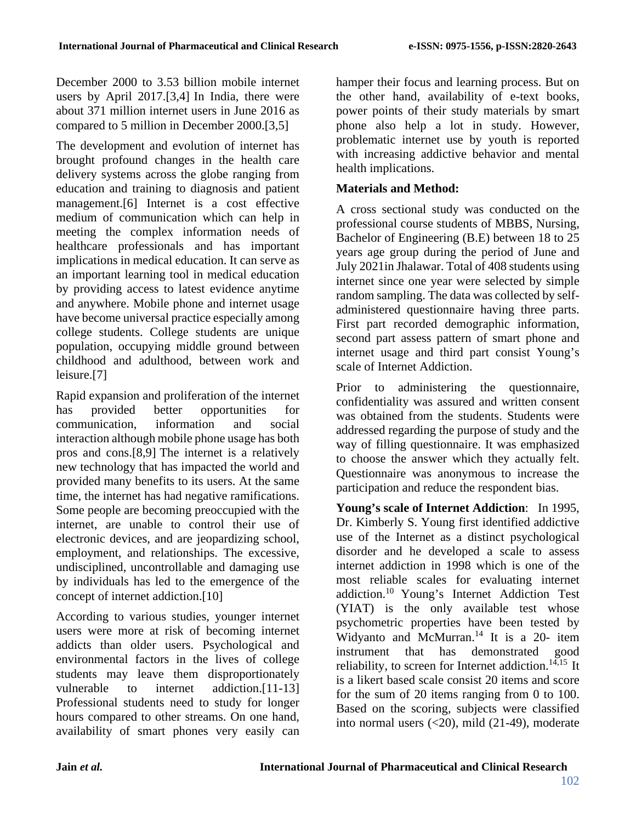December 2000 to 3.53 billion mobile internet users by April 2017.[3,4] In India, there were about 371 million internet users in June 2016 as compared to 5 million in December 2000.[3,5]

The development and evolution of internet has brought profound changes in the health care delivery systems across the globe ranging from education and training to diagnosis and patient management.[6] Internet is a cost effective medium of communication which can help in meeting the complex information needs of healthcare professionals and has important implications in medical education. It can serve as an important learning tool in medical education by providing access to latest evidence anytime and anywhere. Mobile phone and internet usage have become universal practice especially among college students. College students are unique population, occupying middle ground between childhood and adulthood, between work and leisure.[7]

Rapid expansion and proliferation of the internet has provided better opportunities for communication, information and social interaction although mobile phone usage has both pros and cons.[8,9] The internet is a relatively new technology that has impacted the world and provided many benefits to its users. At the same time, the internet has had negative ramifications. Some people are becoming preoccupied with the internet, are unable to control their use of electronic devices, and are jeopardizing school, employment, and relationships. The excessive, undisciplined, uncontrollable and damaging use by individuals has led to the emergence of the concept of internet addiction.[10]

According to various studies, younger internet users were more at risk of becoming internet addicts than older users. Psychological and environmental factors in the lives of college students may leave them disproportionately vulnerable to internet addiction.[11-13] Professional students need to study for longer hours compared to other streams. On one hand, availability of smart phones very easily can hamper their focus and learning process. But on the other hand, availability of e-text books, power points of their study materials by smart phone also help a lot in study. However, problematic internet use by youth is reported with increasing addictive behavior and mental health implications.

## **Materials and Method:**

A cross sectional study was conducted on the professional course students of MBBS, Nursing, Bachelor of Engineering (B.E) between 18 to 25 years age group during the period of June and July 2021in Jhalawar. Total of 408 students using internet since one year were selected by simple random sampling. The data was collected by selfadministered questionnaire having three parts. First part recorded demographic information, second part assess pattern of smart phone and internet usage and third part consist Young's scale of Internet Addiction.

Prior to administering the questionnaire, confidentiality was assured and written consent was obtained from the students. Students were addressed regarding the purpose of study and the way of filling questionnaire. It was emphasized to choose the answer which they actually felt. Questionnaire was anonymous to increase the participation and reduce the respondent bias.

**Young's scale of Internet Addiction**: In 1995, Dr. Kimberly S. Young first identified addictive use of the Internet as a distinct psychological disorder and he developed a scale to assess internet addiction in 1998 which is one of the most reliable scales for evaluating internet addiction.10 Young's Internet Addiction Test (YIAT) is the only available test whose psychometric properties have been tested by Widyanto and McMurran.<sup>14</sup> It is a 20- item instrument that has demonstrated good reliability, to screen for Internet addiction.<sup>14,15</sup> It is a likert based scale consist 20 items and score for the sum of 20 items ranging from 0 to 100. Based on the scoring, subjects were classified into normal users  $( $20$ ), mild  $(21-49)$ , moderate$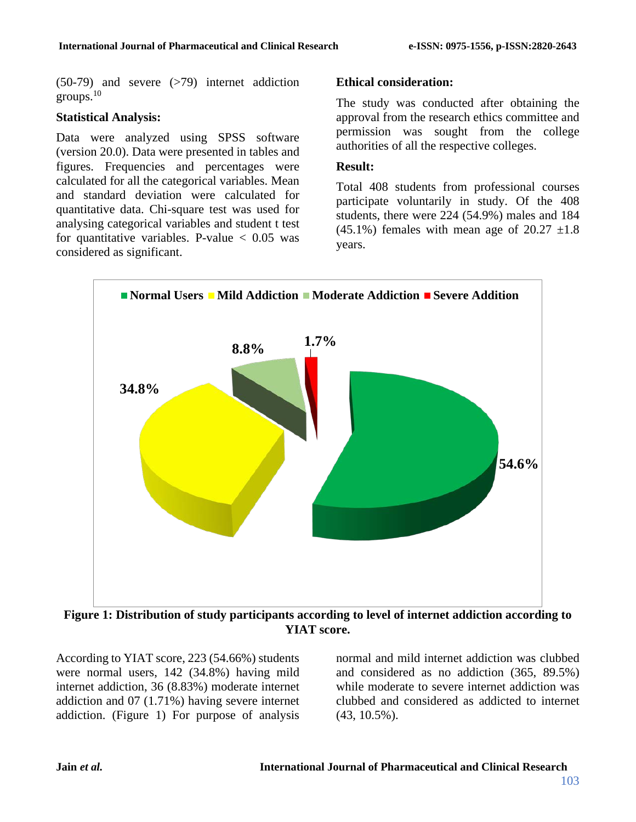$(50-79)$  and severe  $(579)$  internet addiction groups.10

#### **Statistical Analysis:**

Data were analyzed using SPSS software (version 20.0). Data were presented in tables and figures. Frequencies and percentages were calculated for all the categorical variables. Mean and standard deviation were calculated for quantitative data. Chi-square test was used for analysing categorical variables and student t test for quantitative variables. P-value  $< 0.05$  was considered as significant.

#### **Ethical consideration:**

The study was conducted after obtaining the approval from the research ethics committee and permission was sought from the college authorities of all the respective colleges.

#### **Result:**

Total 408 students from professional courses participate voluntarily in study. Of the 408 students, there were 224 (54.9%) males and 184  $(45.1\%)$  females with mean age of  $20.27 \pm 1.8$ years.



**Figure 1: Distribution of study participants according to level of internet addiction according to YIAT score.**

According to YIAT score, 223 (54.66%) students were normal users, 142 (34.8%) having mild internet addiction, 36 (8.83%) moderate internet addiction and 07 (1.71%) having severe internet addiction. (Figure 1) For purpose of analysis

normal and mild internet addiction was clubbed and considered as no addiction (365, 89.5%) while moderate to severe internet addiction was clubbed and considered as addicted to internet (43, 10.5%).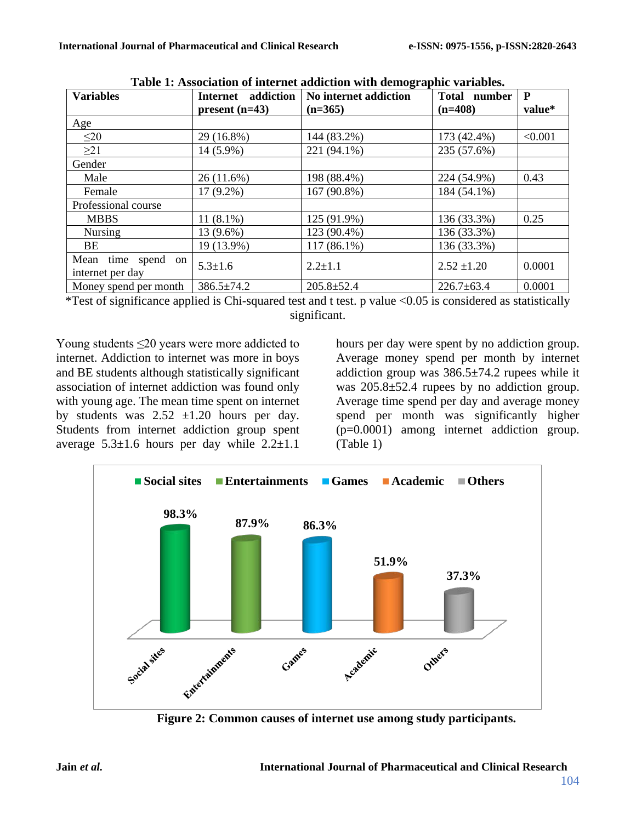| <b>Variables</b>                       | addiction<br><b>Internet</b> | $\cdots$<br>No internet addiction | Total number     | P       |
|----------------------------------------|------------------------------|-----------------------------------|------------------|---------|
|                                        | $present (n=43)$             | $(n=365)$                         | $(n=408)$        | value*  |
| Age                                    |                              |                                   |                  |         |
| $\leq 20$                              | 29 (16.8%)                   | 144 (83.2%)                       | 173 (42.4%)      | < 0.001 |
| $\geq$ 21                              | 14 (5.9%)                    | 221 (94.1%)                       | 235 (57.6%)      |         |
| Gender                                 |                              |                                   |                  |         |
| Male                                   | $26(11.6\%)$                 | 198 (88.4%)                       | 224 (54.9%)      | 0.43    |
| Female                                 | $17(9.2\%)$                  | 167 (90.8%)                       | 184 (54.1%)      |         |
| Professional course                    |                              |                                   |                  |         |
| <b>MBBS</b>                            | $11(8.1\%)$                  | 125 (91.9%)                       | 136 (33.3%)      | 0.25    |
| <b>Nursing</b>                         | 13 (9.6%)                    | 123 (90.4%)                       | 136 (33.3%)      |         |
| BE.                                    | 19 (13.9%)                   | 117 (86.1%)                       | 136 (33.3%)      |         |
| Mean time spend on<br>internet per day | $5.3 \pm 1.6$                | $2.2 \pm 1.1$                     | $2.52 \pm 1.20$  | 0.0001  |
| Money spend per month                  | $386.5 \pm 74.2$             | $205.8 \pm 52.4$                  | $226.7 \pm 63.4$ | 0.0001  |

**Table 1: Association of internet addiction with demographic variables.**

\*Test of significance applied is Chi-squared test and t test. p value <0.05 is considered as statistically significant.

Young students  $\leq 20$  years were more addicted to internet. Addiction to internet was more in boys and BE students although statistically significant association of internet addiction was found only with young age. The mean time spent on internet by students was  $2.52 \pm 1.20$  hours per day. Students from internet addiction group spent average  $5.3\pm1.6$  hours per day while  $2.2\pm1.1$ 

hours per day were spent by no addiction group. Average money spend per month by internet addiction group was 386.5±74.2 rupees while it was 205.8±52.4 rupees by no addiction group. Average time spend per day and average money spend per month was significantly higher (p=0.0001) among internet addiction group. (Table 1)



**Figure 2: Common causes of internet use among study participants.**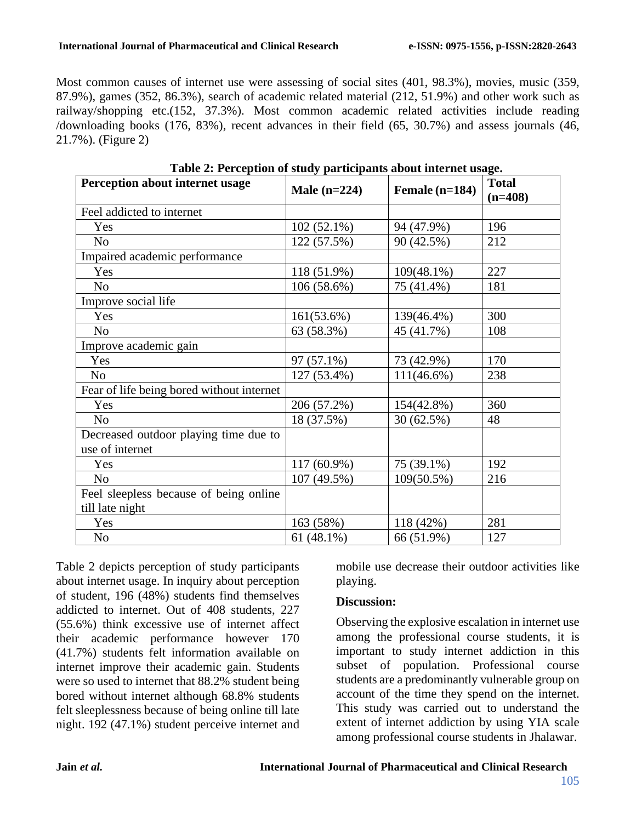Most common causes of internet use were assessing of social sites (401, 98.3%), movies, music (359, 87.9%), games (352, 86.3%), search of academic related material (212, 51.9%) and other work such as railway/shopping etc.(152, 37.3%). Most common academic related activities include reading /downloading books (176, 83%), recent advances in their field (65, 30.7%) and assess journals (46, 21.7%). (Figure 2)

| Perception about internet usage                          |                |                | <b>Total</b> |
|----------------------------------------------------------|----------------|----------------|--------------|
|                                                          | Male $(n=224)$ | Female (n=184) | $(n=408)$    |
| Feel addicted to internet                                |                |                |              |
| Yes                                                      | 102 (52.1%)    | 94 (47.9%)     | 196          |
| N <sub>o</sub>                                           | 122 (57.5%)    | 90 (42.5%)     | 212          |
| Impaired academic performance                            |                |                |              |
| Yes                                                      | 118 (51.9%)    | $109(48.1\%)$  | 227          |
| N <sub>o</sub>                                           | 106 (58.6%)    | 75 (41.4%)     | 181          |
| Improve social life                                      |                |                |              |
| Yes                                                      | 161(53.6%)     | 139(46.4%)     | 300          |
| N <sub>o</sub>                                           | 63 (58.3%)     | 45 (41.7%)     | 108          |
| Improve academic gain                                    |                |                |              |
| Yes                                                      | 97 (57.1%)     | 73 (42.9%)     | 170          |
| N <sub>o</sub>                                           | 127 (53.4%)    | $111(46.6\%)$  | 238          |
| Fear of life being bored without internet                |                |                |              |
| Yes                                                      | 206 (57.2%)    | 154(42.8%)     | 360          |
| N <sub>o</sub>                                           | 18 (37.5%)     | 30 (62.5%)     | 48           |
| Decreased outdoor playing time due to<br>use of internet |                |                |              |
| Yes                                                      | 117 (60.9%)    | 75 (39.1%)     | 192          |
| N <sub>o</sub>                                           | 107 (49.5%)    | 109(50.5%)     | 216          |
| Feel sleepless because of being online                   |                |                |              |
| till late night                                          |                |                |              |
| Yes                                                      | 163 (58%)      | 118 (42%)      | 281          |
| N <sub>0</sub>                                           | 61 (48.1%)     | 66 (51.9%)     | 127          |

**Table 2: Perception of study participants about internet usage.**

Table 2 depicts perception of study participants about internet usage. In inquiry about perception of student, 196 (48%) students find themselves addicted to internet. Out of 408 students, 227 (55.6%) think excessive use of internet affect their academic performance however 170 (41.7%) students felt information available on internet improve their academic gain. Students were so used to internet that 88.2% student being bored without internet although 68.8% students felt sleeplessness because of being online till late night. 192 (47.1%) student perceive internet and

mobile use decrease their outdoor activities like playing.

#### **Discussion:**

Observing the explosive escalation in internet use among the professional course students, it is important to study internet addiction in this subset of population. Professional course students are a predominantly vulnerable group on account of the time they spend on the internet. This study was carried out to understand the extent of internet addiction by using YIA scale among professional course students in Jhalawar.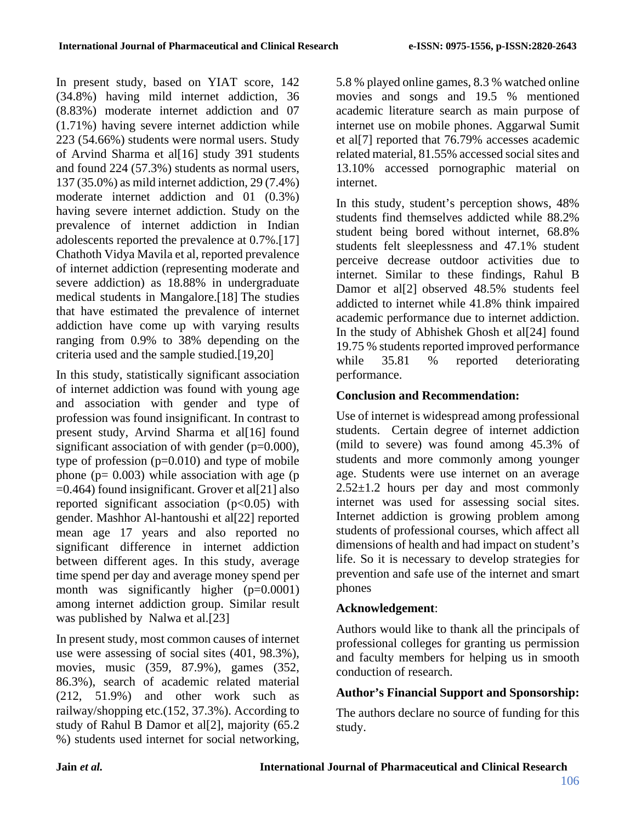In present study, based on YIAT score, 142 (34.8%) having mild internet addiction, 36 (8.83%) moderate internet addiction and 07 (1.71%) having severe internet addiction while 223 (54.66%) students were normal users. Study of Arvind Sharma et al[16] study 391 students and found 224 (57.3%) students as normal users, 137 (35.0%) as mild internet addiction, 29 (7.4%) moderate internet addiction and 01 (0.3%) having severe internet addiction. Study on the prevalence of internet addiction in Indian adolescents reported the prevalence at 0.7%.[17] Chathoth Vidya Mavila et al, reported prevalence of internet addiction (representing moderate and severe addiction) as 18.88% in undergraduate medical students in Mangalore.[18] The studies that have estimated the prevalence of internet addiction have come up with varying results ranging from 0.9% to 38% depending on the criteria used and the sample studied.[19,20]

In this study, statistically significant association of internet addiction was found with young age and association with gender and type of profession was found insignificant. In contrast to present study, Arvind Sharma et al[16] found significant association of with gender (p=0.000), type of profession (p=0.010) and type of mobile phone ( $p= 0.003$ ) while association with age ( $p$ ) =0.464) found insignificant. Grover et al[21] also reported significant association  $(p<0.05)$  with gender. Mashhor Al-hantoushi et al[22] reported mean age 17 years and also reported no significant difference in internet addiction between different ages. In this study, average time spend per day and average money spend per month was significantly higher (p=0.0001) among internet addiction group. Similar result was published by Nalwa et al.[23]

In present study, most common causes of internet use were assessing of social sites (401, 98.3%), movies, music (359, 87.9%), games (352, 86.3%), search of academic related material (212, 51.9%) and other work such as railway/shopping etc.(152, 37.3%). According to study of Rahul B Damor et al[2], majority (65.2 %) students used internet for social networking,

5.8 % played online games, 8.3 % watched online movies and songs and 19.5 % mentioned academic literature search as main purpose of internet use on mobile phones. Aggarwal Sumit et al[7] reported that 76.79% accesses academic related material, 81.55% accessed social sites and 13.10% accessed pornographic material on internet.

In this study, student's perception shows, 48% students find themselves addicted while 88.2% student being bored without internet, 68.8% students felt sleeplessness and 47.1% student perceive decrease outdoor activities due to internet. Similar to these findings, Rahul B Damor et al[2] observed 48.5% students feel addicted to internet while 41.8% think impaired academic performance due to internet addiction. In the study of Abhishek Ghosh et al[24] found 19.75 % students reported improved performance while 35.81 % reported deteriorating performance.

## **Conclusion and Recommendation:**

Use of internet is widespread among professional students. Certain degree of internet addiction (mild to severe) was found among 45.3% of students and more commonly among younger age. Students were use internet on an average 2.52±1.2 hours per day and most commonly internet was used for assessing social sites. Internet addiction is growing problem among students of professional courses, which affect all dimensions of health and had impact on student's life. So it is necessary to develop strategies for prevention and safe use of the internet and smart phones

### **Acknowledgement**:

Authors would like to thank all the principals of professional colleges for granting us permission and faculty members for helping us in smooth conduction of research.

## **Author's Financial Support and Sponsorship:**

The authors declare no source of funding for this study.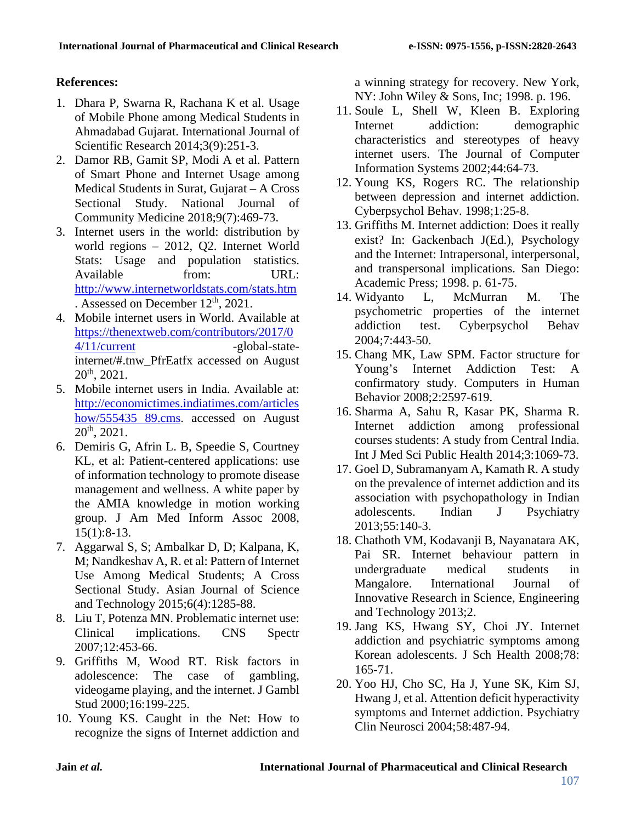## **References:**

- 1. Dhara P, Swarna R, Rachana K et al. Usage of Mobile Phone among Medical Students in Ahmadabad Gujarat. International Journal of Scientific Research 2014;3(9):251-3.
- 2. Damor RB, Gamit SP, Modi A et al. Pattern of Smart Phone and Internet Usage among Medical Students in Surat, Gujarat – A Cross Sectional Study. National Journal of Community Medicine 2018;9(7):469-73.
- 3. Internet users in the world: distribution by world regions – 2012, Q2. Internet World Stats: Usage and population statistics. Available from: URL: <http://www.internetworldstats.com/stats.htm> . Assessed on December  $12<sup>th</sup>$ , 2021.
- 4. Mobile internet users in World. Available at [https://thenextweb.com/contributors/2017/0](https://thenextweb.com/contributors/2017/04/11/current) [4/11/current](https://thenextweb.com/contributors/2017/04/11/current) -global-stateinternet/#.tnw\_PfrEatfx accessed on August  $20^{th}$ ,  $2021$ .
- 5. Mobile internet users in India. Available at: [http://economictimes.indiatimes.com/articles](http://economictimes.indiatimes.com/articleshow/555435%2089.cms) [how/555435 89.cms.](http://economictimes.indiatimes.com/articleshow/555435%2089.cms) accessed on August  $20^{th}$ ,  $2021$ .
- 6. Demiris G, Afrin L. B, Speedie S, Courtney KL, et al: Patient-centered applications: use of information technology to promote disease management and wellness. A white paper by the AMIA knowledge in motion working group. J Am Med Inform Assoc 2008,  $15(1):8-13.$
- 7. Aggarwal S, S; Ambalkar D, D; Kalpana, K, M; Nandkeshav A, R. et al: Pattern of Internet Use Among Medical Students; A Cross Sectional Study. Asian Journal of Science and Technology 2015;6(4):1285-88.
- 8. Liu T, Potenza MN. Problematic internet use: Clinical implications. CNS Spectr 2007;12:453-66.
- 9. Griffiths M, Wood RT. Risk factors in adolescence: The case of gambling, videogame playing, and the internet. J Gambl Stud 2000;16:199-225.
- 10. Young KS. Caught in the Net: How to recognize the signs of Internet addiction and

a winning strategy for recovery. New York, NY: John Wiley & Sons, Inc; 1998. p. 196.

- 11. Soule L, Shell W, Kleen B. Exploring Internet addiction: demographic characteristics and stereotypes of heavy internet users. The Journal of Computer Information Systems 2002;44:64-73.
- 12. Young KS, Rogers RC. The relationship between depression and internet addiction. Cyberpsychol Behav. 1998;1:25-8.
- 13. Griffiths M. Internet addiction: Does it really exist? In: Gackenbach J(Ed.), Psychology and the Internet: Intrapersonal, interpersonal, and transpersonal implications. San Diego: Academic Press; 1998. p. 61-75.
- 14. Widyanto L, McMurran M. The psychometric properties of the internet addiction test. Cyberpsychol Behav 2004;7:443-50.
- 15. Chang MK, Law SPM. Factor structure for Young's Internet Addiction Test: A confirmatory study. Computers in Human Behavior 2008;2:2597-619.
- 16. Sharma A, Sahu R, Kasar PK, Sharma R. Internet addiction among professional courses students: A study from Central India. Int J Med Sci Public Health 2014;3:1069-73.
- 17. Goel D, Subramanyam A, Kamath R. A study on the prevalence of internet addiction and its association with psychopathology in Indian adolescents. Indian J Psychiatry 2013;55:140-3.
- 18. Chathoth VM, Kodavanji B, Nayanatara AK, Pai SR. Internet behaviour pattern in undergraduate medical students in<br>Mangalore. International Journal of International Journal of Innovative Research in Science, Engineering and Technology 2013;2.
- 19. Jang KS, Hwang SY, Choi JY. Internet addiction and psychiatric symptoms among Korean adolescents. J Sch Health 2008;78: 165-71.
- 20. Yoo HJ, Cho SC, Ha J, Yune SK, Kim SJ, Hwang J, et al. Attention deficit hyperactivity symptoms and Internet addiction. Psychiatry Clin Neurosci 2004;58:487-94.